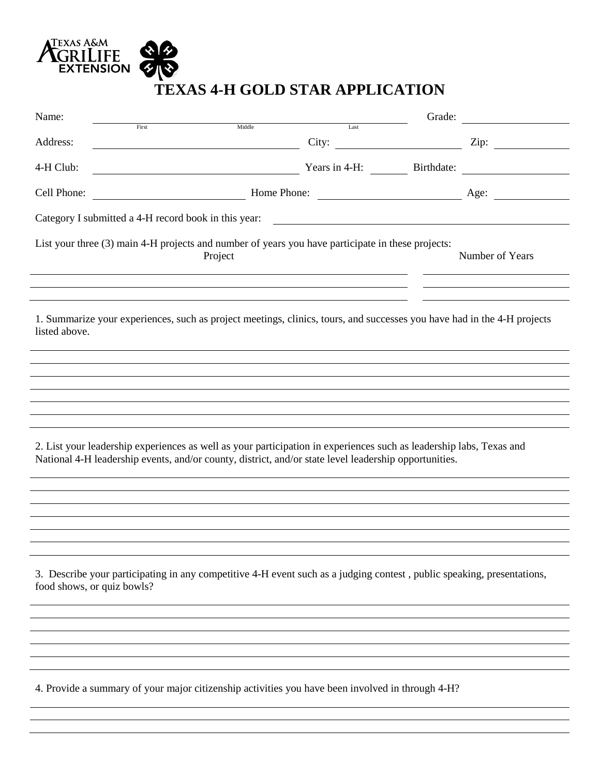

## **TEXAS 4-H GOLD STAR APPLICATION**

| Name:                                                                                                                                                                                                                        | First | Middle                                                                                                                 | Last                                                     | Grade: |                          |
|------------------------------------------------------------------------------------------------------------------------------------------------------------------------------------------------------------------------------|-------|------------------------------------------------------------------------------------------------------------------------|----------------------------------------------------------|--------|--------------------------|
| Address:                                                                                                                                                                                                                     |       | <u> 1980 - Johann Stoff, deutscher Stoffen und der Stoffen und der Stoffen und der Stoffen und der Stoffen und der</u> | City: $\frac{1}{\sqrt{1-\frac{1}{2}} \cdot \frac{1}{2}}$ |        | Zip: $\qquad \qquad$     |
| 4-H Club:                                                                                                                                                                                                                    |       | <u> 1980 - Johann Barn, mars eta bainar eta baina eta baina eta baina eta baina eta baina eta baina eta baina e</u>    |                                                          |        | Years in 4-H: Birthdate: |
| Cell Phone:                                                                                                                                                                                                                  |       |                                                                                                                        |                                                          |        |                          |
| Category I submitted a 4-H record book in this year:<br><u> 1989 - Johann Harry Barn, mars an t-Amerikaansk kommunist (</u>                                                                                                  |       |                                                                                                                        |                                                          |        |                          |
|                                                                                                                                                                                                                              |       | List your three (3) main 4-H projects and number of years you have participate in these projects:<br>Project           |                                                          |        | Number of Years          |
| 1. Summarize your experiences, such as project meetings, clinics, tours, and successes you have had in the 4-H projects<br>listed above.                                                                                     |       |                                                                                                                        |                                                          |        |                          |
|                                                                                                                                                                                                                              |       |                                                                                                                        |                                                          |        |                          |
|                                                                                                                                                                                                                              |       |                                                                                                                        |                                                          |        |                          |
|                                                                                                                                                                                                                              |       |                                                                                                                        |                                                          |        |                          |
| 2. List your leadership experiences as well as your participation in experiences such as leadership labs, Texas and<br>National 4-H leadership events, and/or county, district, and/or state level leadership opportunities. |       |                                                                                                                        |                                                          |        |                          |
|                                                                                                                                                                                                                              |       |                                                                                                                        |                                                          |        |                          |
|                                                                                                                                                                                                                              |       |                                                                                                                        |                                                          |        |                          |
|                                                                                                                                                                                                                              |       |                                                                                                                        |                                                          |        |                          |
| 3. Describe your participating in any competitive 4-H event such as a judging contest, public speaking, presentations,<br>food shows, or quiz bowls?                                                                         |       |                                                                                                                        |                                                          |        |                          |
|                                                                                                                                                                                                                              |       |                                                                                                                        |                                                          |        |                          |
|                                                                                                                                                                                                                              |       |                                                                                                                        |                                                          |        |                          |
|                                                                                                                                                                                                                              |       |                                                                                                                        |                                                          |        |                          |
|                                                                                                                                                                                                                              |       | 4. Provide a summary of your major citizenship activities you have been involved in through 4-H?                       |                                                          |        |                          |